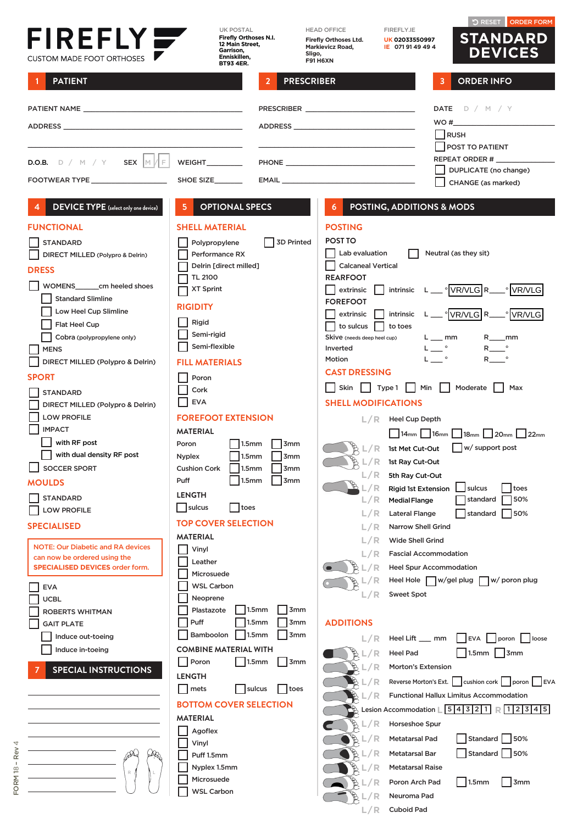| FIREFLY<br><b>CUSTOM MADE FOOT ORTHOSES</b>                                                                    | <b>UK POSTAL</b><br>Firefly Orthoses N.I.<br>12 Main Street,<br>Garrison.<br>Enniskillen,<br><b>BT93 4ER.</b> | Sligo,                               | <b>HEAD OFFICE</b><br>Firefly Orthoses Ltd.<br><b>Markievicz Road,</b><br><b>F91 H6XN</b> | FIREFLY.IE<br>UK 02033550997<br>IE 0719149494           | <b>D RESET</b><br><b>ORDER FORM</b><br><b>STANDARD</b><br><b>DEVICES</b>                                                                                   |
|----------------------------------------------------------------------------------------------------------------|---------------------------------------------------------------------------------------------------------------|--------------------------------------|-------------------------------------------------------------------------------------------|---------------------------------------------------------|------------------------------------------------------------------------------------------------------------------------------------------------------------|
| <b>PATIENT</b>                                                                                                 |                                                                                                               | <b>PRESCRIBER</b><br>$\overline{2}$  |                                                                                           | 3                                                       | <b>ORDER INFO</b>                                                                                                                                          |
|                                                                                                                |                                                                                                               |                                      |                                                                                           |                                                         | DATE $D / M / Y$                                                                                                                                           |
| ADDRESS AND THE RESIDENCE OF THE RESIDENCE OF THE RESIDENCE OF THE RESIDENCE OF THE RESIDENCE OF THE RESIDENCE |                                                                                                               |                                      |                                                                                           |                                                         | WO#                                                                                                                                                        |
|                                                                                                                |                                                                                                               |                                      |                                                                                           |                                                         | <b>RUSH</b><br><b>POST TO PATIENT</b>                                                                                                                      |
| <b>D.O.B.</b> $D / M / Y$ <b>SEX</b> $ M / F $                                                                 | WEIGHT                                                                                                        |                                      |                                                                                           |                                                         | REPEAT ORDER #                                                                                                                                             |
| FOOTWEAR TYPE ____________________                                                                             | SHOE SIZE                                                                                                     |                                      |                                                                                           |                                                         | DUPLICATE (no change)<br>CHANGE (as marked)                                                                                                                |
|                                                                                                                | <b>OPTIONAL SPECS</b><br>$\overline{\mathbf{5}}$                                                              |                                      |                                                                                           | POSTING, ADDITIONS & MODS                               |                                                                                                                                                            |
| <b>DEVICE TYPE</b> (select only one device)                                                                    |                                                                                                               |                                      | 6                                                                                         |                                                         |                                                                                                                                                            |
| <b>FUNCTIONAL</b>                                                                                              | <b>SHELL MATERIAL</b>                                                                                         |                                      | <b>POSTING</b>                                                                            |                                                         |                                                                                                                                                            |
| <b>STANDARD</b>                                                                                                | Polypropylene<br>Performance RX                                                                               | <b>3D Printed</b>                    | <b>POST TO</b><br>Lab evaluation                                                          |                                                         | Neutral (as they sit)                                                                                                                                      |
| DIRECT MILLED (Polypro & Delrin)                                                                               | Delrin [direct milled]                                                                                        |                                      | <b>Calcaneal Vertical</b>                                                                 |                                                         |                                                                                                                                                            |
| <b>DRESS</b>                                                                                                   | <b>TL 2100</b>                                                                                                |                                      | <b>REARFOOT</b>                                                                           |                                                         |                                                                                                                                                            |
| WOMENS cm heeled shoes<br><b>Standard Slimline</b>                                                             | <b>XT Sprint</b>                                                                                              |                                      | extrinsic                                                                                 |                                                         | intrinsic L C VR/VLG R C VR/VLG                                                                                                                            |
| Low Heel Cup Slimline                                                                                          | <b>RIGIDITY</b>                                                                                               |                                      | <b>FOREFOOT</b><br>extrinsic                                                              |                                                         | intrinsic L C VR/VLG R_ VR/VLG                                                                                                                             |
| Flat Heel Cup                                                                                                  | Rigid                                                                                                         |                                      | to sulcus                                                                                 | to toes                                                 |                                                                                                                                                            |
| Cobra (polypropylene only)                                                                                     | Semi-rigid                                                                                                    |                                      | Skive (needs deep heel cup)                                                               | $L$ $\_\$ mm                                            | $R$ <sub>___</sub> mm                                                                                                                                      |
| <b>MENS</b>                                                                                                    | Semi-flexible                                                                                                 |                                      | Inverted<br>Motion                                                                        | $L \_$ $^{\circ}$<br>$L_{-}$ $^{\circ}$                 | $R_{-}$ $^{\circ}$                                                                                                                                         |
| DIRECT MILLED (Polypro & Delrin)                                                                               | <b>FILL MATERIALS</b>                                                                                         |                                      | <b>CAST DRESSING</b>                                                                      |                                                         |                                                                                                                                                            |
| <b>SPORT</b>                                                                                                   | Poron                                                                                                         |                                      | Skin                                                                                      | Min    <br>$\vert$ Type 1 $\vert$ $\vert$               | Moderate   Max                                                                                                                                             |
| <b>STANDARD</b>                                                                                                | Cork<br><b>EVA</b>                                                                                            |                                      | <b>SHELL MODIFICATIONS</b>                                                                |                                                         |                                                                                                                                                            |
| DIRECT MILLED (Polypro & Delrin)<br><b>LOW PROFILE</b>                                                         | <b>FOREFOOT EXTENSION</b>                                                                                     |                                      |                                                                                           | $L/R$ Heel Cup Depth                                    |                                                                                                                                                            |
| <b>IMPACT</b>                                                                                                  | <b>MATERIAL</b>                                                                                               |                                      |                                                                                           |                                                         | $14$ <sub>mm</sub>   $16$ <sub>mm</sub>   $18$ <sub>mm</sub>   $120$ <sub>mm</sub>   $122$ <sub>mm</sub>                                                   |
| with RF post                                                                                                   | 1.5 <sub>mm</sub><br>Poron                                                                                    | 3 <sub>mm</sub>                      |                                                                                           | $\mathbb{R}$ $\mathbb{L}/\mathbb{R}$ 1st Met Cut-Out    | $w /$ support post                                                                                                                                         |
| $\Box$ with dual density RF post                                                                               | Nyplex<br>1.5 <sub>mm</sub>                                                                                   | 3mm                                  | L/R                                                                                       | 1st Ray Cut-Out                                         |                                                                                                                                                            |
| <b>SOCCER SPORT</b>                                                                                            | <b>Cushion Cork</b><br>1.5 <sub>mm</sub>                                                                      | 3mm                                  | L/R                                                                                       | 5th Ray Cut-Out                                         |                                                                                                                                                            |
| <b>MOULDS</b>                                                                                                  | Puff<br>1.5 <sub>mm</sub>                                                                                     | 3 <sub>mm</sub>                      | L/R                                                                                       | <b>Rigid 1st Extension</b>                              | sulcus<br>toes                                                                                                                                             |
| <b>STANDARD</b>                                                                                                | <b>LENGTH</b><br>sulcus<br>toes                                                                               |                                      | L/R                                                                                       | <b>Medial Flange</b>                                    | standard<br>50%                                                                                                                                            |
| <b>LOW PROFILE</b>                                                                                             | <b>TOP COVER SELECTION</b>                                                                                    |                                      | L/R                                                                                       | <b>Lateral Flange</b>                                   | 50%<br>standard                                                                                                                                            |
| <b>SPECIALISED</b>                                                                                             | <b>MATERIAL</b>                                                                                               |                                      | L/R                                                                                       | <b>Narrow Shell Grind</b>                               |                                                                                                                                                            |
| <b>NOTE: Our Diabetic and RA devices</b>                                                                       | Vinyl                                                                                                         |                                      | L/R<br>L/R                                                                                | <b>Wide Shell Grind</b><br><b>Fascial Accommodation</b> |                                                                                                                                                            |
| can now be ordered using the<br><b>SPECIALISED DEVICES order form.</b>                                         | Leather                                                                                                       |                                      | L/R                                                                                       | <b>Heel Spur Accommodation</b>                          |                                                                                                                                                            |
|                                                                                                                | Microsuede                                                                                                    |                                      |                                                                                           | Heel Hole W/gel plug                                    | w/ poron plug                                                                                                                                              |
| <b>EVA</b><br><b>UCBL</b>                                                                                      | <b>WSL Carbon</b><br>Neoprene                                                                                 |                                      | L/R                                                                                       | <b>Sweet Spot</b>                                       |                                                                                                                                                            |
| ROBERTS WHITMAN                                                                                                | Plastazote                                                                                                    | 1.5 <sub>mm</sub><br><b>3mm</b>      |                                                                                           |                                                         |                                                                                                                                                            |
| <b>GAIT PLATE</b>                                                                                              | Puff                                                                                                          | 1.5 <sub>mm</sub><br>3 <sub>mm</sub> | <b>ADDITIONS</b>                                                                          |                                                         |                                                                                                                                                            |
| Induce out-toeing                                                                                              | Bamboolon                                                                                                     | 1.5mm<br>3 <sub>mm</sub>             | L/R                                                                                       | Heel Lift ___ mm                                        | EVA  <br>poron   loose                                                                                                                                     |
| Induce in-toeing                                                                                               | <b>COMBINE MATERIAL WITH</b>                                                                                  |                                      | B<br>L/R                                                                                  | <b>Heel Pad</b>                                         | $ 3$ mm<br>1.5 <sub>mm</sub>                                                                                                                               |
| <b>SPECIAL INSTRUCTIONS</b>                                                                                    | Poron<br>1.5 <sub>mm</sub>                                                                                    | 3mm                                  | A<br>L/R                                                                                  | <b>Morton's Extension</b>                               |                                                                                                                                                            |
|                                                                                                                | <b>LENGTH</b><br>sulcus<br>  mets                                                                             | toes                                 | L/R                                                                                       |                                                         | Reverse Morton's Ext.     cushion cork     poron<br>EVA                                                                                                    |
|                                                                                                                | <b>BOTTOM COVER SELECTION</b>                                                                                 |                                      | / R                                                                                       |                                                         | <b>Functional Hallux Limitus Accommodation</b>                                                                                                             |
|                                                                                                                | <b>MATERIAL</b>                                                                                               |                                      |                                                                                           |                                                         | $\mathbb{R}$ Lesion Accommodation $\lfloor 5 \rfloor 4 \rfloor 3 \lfloor 2 \rfloor 1 \rfloor \mathbb{R} \lfloor 1 \rfloor 2 \lfloor 3 \rfloor 4 \rfloor 5$ |
|                                                                                                                | Agoflex                                                                                                       |                                      | B<br>L/R                                                                                  | Horseshoe Spur                                          |                                                                                                                                                            |
|                                                                                                                | Vinyl                                                                                                         |                                      | B<br>/ R                                                                                  | Metatarsal Pad                                          | Standard  <br>50%                                                                                                                                          |
|                                                                                                                | Puff 1.5mm                                                                                                    |                                      | / R                                                                                       | <b>Metatarsal Bar</b>                                   | Standard   50%                                                                                                                                             |
| $\mathbb R$                                                                                                    | Nyplex 1.5mm<br>Microsuede                                                                                    |                                      | / R                                                                                       | <b>Metatarsal Raise</b>                                 |                                                                                                                                                            |
|                                                                                                                |                                                                                                               |                                      |                                                                                           | Poron Arch Pad                                          | 3 <sub>mm</sub><br>1.5 <sub>mm</sub>                                                                                                                       |

WSL Carbon

**L/R** Neuroma Pad **L/R** Cuboid Pad

 $\big($